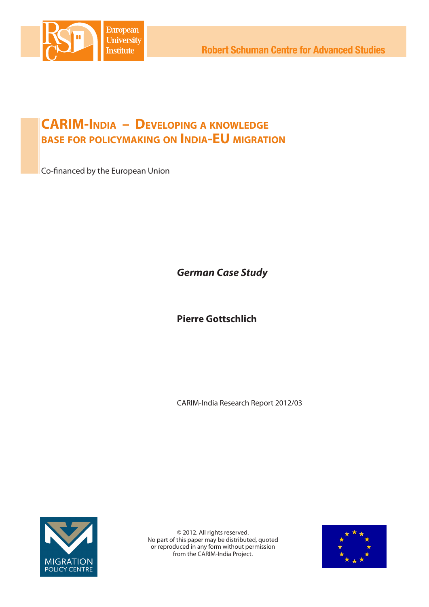

# **CARIM-India – Developing <sup>a</sup> knowledge base for policymaking on India-EU migration**

Co-financed by the European Union

*German Case Study*

**Pierre Gottschlich**

CARIM-India Research Report 2012/03



© 2012. All rights reserved. No part of this paper may be distributed, quoted or reproduced in any form without permission from the CARIM-India Project.

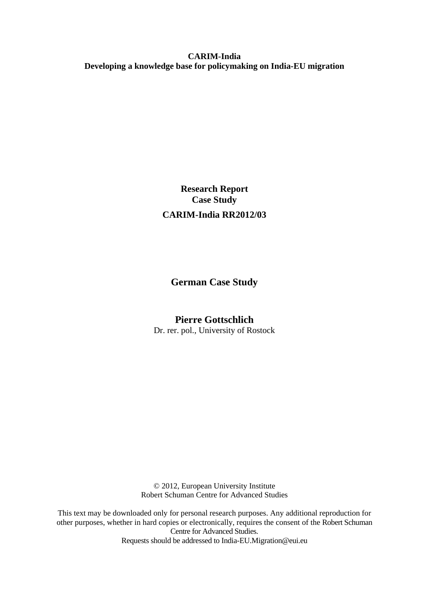**CARIM-India Developing a knowledge base for policymaking on India-EU migration** 

# **Research Report Case Study CARIM-India RR2012/03**

**German Case Study** 

# **Pierre Gottschlich**

Dr. rer. pol., University of Rostock

© 2012, European University Institute Robert Schuman Centre for Advanced Studies

This text may be downloaded only for personal research purposes. Any additional reproduction for other purposes, whether in hard copies or electronically, requires the consent of the Robert Schuman Centre for Advanced Studies. Requests should be addressed to India-EU.Migration@eui.eu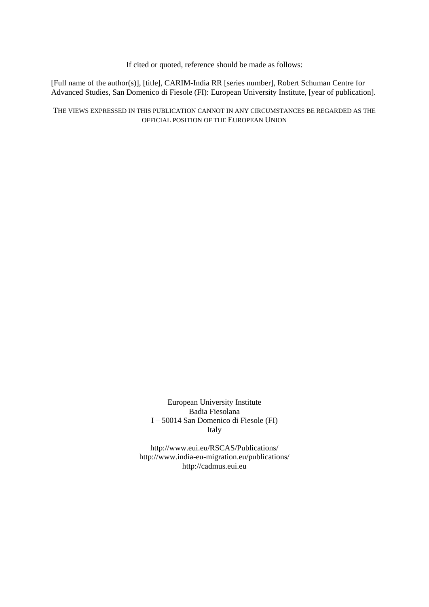If cited or quoted, reference should be made as follows:

[Full name of the author(s)], [title], CARIM-India RR [series number], Robert Schuman Centre for Advanced Studies, San Domenico di Fiesole (FI): European University Institute, [year of publication].

THE VIEWS EXPRESSED IN THIS PUBLICATION CANNOT IN ANY CIRCUMSTANCES BE REGARDED AS THE OFFICIAL POSITION OF THE EUROPEAN UNION

> European University Institute Badia Fiesolana I – 50014 San Domenico di Fiesole (FI) Italy

http://www.eui.eu/RSCAS/Publications/ http://www.india-eu-migration.eu/publications/ http://cadmus.eui.eu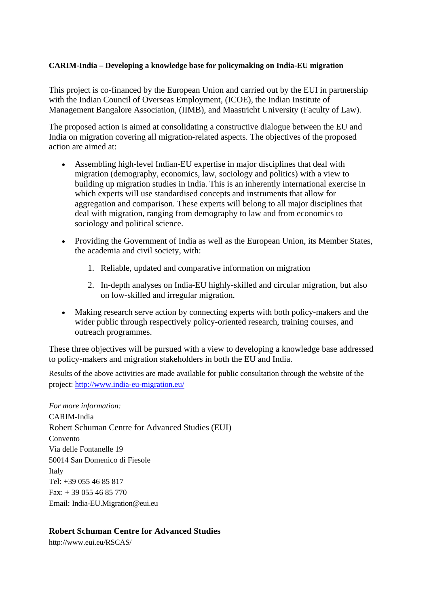# **CARIM-India – Developing a knowledge base for policymaking on India-EU migration**

This project is co-financed by the European Union and carried out by the EUI in partnership with the Indian Council of Overseas Employment, (ICOE), the Indian Institute of Management Bangalore Association, (IIMB), and Maastricht University (Faculty of Law).

The proposed action is aimed at consolidating a constructive dialogue between the EU and India on migration covering all migration-related aspects. The objectives of the proposed action are aimed at:

- Assembling high-level Indian-EU expertise in major disciplines that deal with migration (demography, economics, law, sociology and politics) with a view to building up migration studies in India. This is an inherently international exercise in which experts will use standardised concepts and instruments that allow for aggregation and comparison. These experts will belong to all major disciplines that deal with migration, ranging from demography to law and from economics to sociology and political science.
- Providing the Government of India as well as the European Union, its Member States, the academia and civil society, with:
	- 1. Reliable, updated and comparative information on migration
	- 2. In-depth analyses on India-EU highly-skilled and circular migration, but also on low-skilled and irregular migration.
- Making research serve action by connecting experts with both policy-makers and the wider public through respectively policy-oriented research, training courses, and outreach programmes.

These three objectives will be pursued with a view to developing a knowledge base addressed to policy-makers and migration stakeholders in both the EU and India.

Results of the above activities are made available for public consultation through the website of the project: http://www.india-eu-migration.eu/

*For more information:*  CARIM-India Robert Schuman Centre for Advanced Studies (EUI) Convento Via delle Fontanelle 19 50014 San Domenico di Fiesole Italy Tel: +39 055 46 85 817 Fax: + 39 055 46 85 770 Email: India-EU.Migration@eui.eu

# **Robert Schuman Centre for Advanced Studies**

http://www.eui.eu/RSCAS/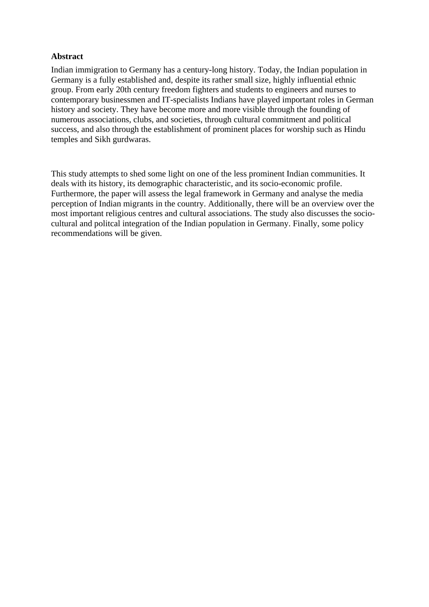# **Abstract**

Indian immigration to Germany has a century-long history. Today, the Indian population in Germany is a fully established and, despite its rather small size, highly influential ethnic group. From early 20th century freedom fighters and students to engineers and nurses to contemporary businessmen and IT-specialists Indians have played important roles in German history and society. They have become more and more visible through the founding of numerous associations, clubs, and societies, through cultural commitment and political success, and also through the establishment of prominent places for worship such as Hindu temples and Sikh gurdwaras.

This study attempts to shed some light on one of the less prominent Indian communities. It deals with its history, its demographic characteristic, and its socio-economic profile. Furthermore, the paper will assess the legal framework in Germany and analyse the media perception of Indian migrants in the country. Additionally, there will be an overview over the most important religious centres and cultural associations. The study also discusses the sociocultural and politcal integration of the Indian population in Germany. Finally, some policy recommendations will be given.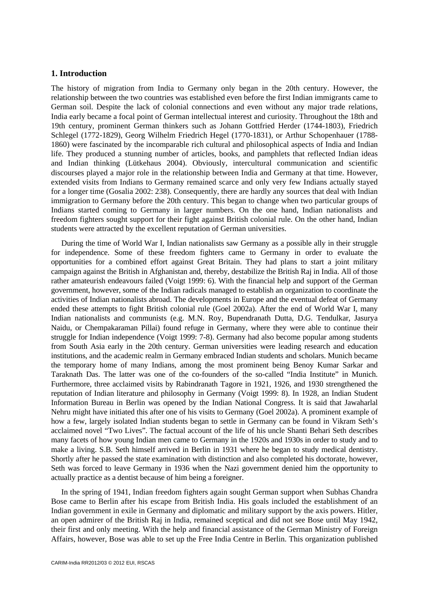## **1. Introduction**

The history of migration from India to Germany only began in the 20th century. However, the relationship between the two countries was established even before the first Indian immigrants came to German soil. Despite the lack of colonial connections and even without any major trade relations, India early became a focal point of German intellectual interest and curiosity. Throughout the 18th and 19th century, prominent German thinkers such as Johann Gottfried Herder (1744-1803), Friedrich Schlegel (1772-1829), Georg Wilhelm Friedrich Hegel (1770-1831), or Arthur Schopenhauer (1788- 1860) were fascinated by the incomparable rich cultural and philosophical aspects of India and Indian life. They produced a stunning number of articles, books, and pamphlets that reflected Indian ideas and Indian thinking (Lütkehaus 2004). Obviously, intercultural communication and scientific discourses played a major role in the relationship between India and Germany at that time. However, extended visits from Indians to Germany remained scarce and only very few Indians actually stayed for a longer time (Gosalia 2002: 238). Consequently, there are hardly any sources that deal with Indian immigration to Germany before the 20th century. This began to change when two particular groups of Indians started coming to Germany in larger numbers. On the one hand, Indian nationalists and freedom fighters sought support for their fight against British colonial rule. On the other hand, Indian students were attracted by the excellent reputation of German universities.

During the time of World War I, Indian nationalists saw Germany as a possible ally in their struggle for independence. Some of these freedom fighters came to Germany in order to evaluate the opportunities for a combined effort against Great Britain. They had plans to start a joint military campaign against the British in Afghanistan and, thereby, destabilize the British Raj in India. All of those rather amateurish endeavours failed (Voigt 1999: 6). With the financial help and support of the German government, however, some of the Indian radicals managed to establish an organization to coordinate the activities of Indian nationalists abroad. The developments in Europe and the eventual defeat of Germany ended these attempts to fight British colonial rule (Goel 2002a). After the end of World War I, many Indian nationalists and communists (e.g. M.N. Roy, Bupendranath Dutta, D.G. Tendulkar, Jasurya Naidu, or Chempakaraman Pillai) found refuge in Germany, where they were able to continue their struggle for Indian independence (Voigt 1999: 7-8). Germany had also become popular among students from South Asia early in the 20th century. German universities were leading research and education institutions, and the academic realm in Germany embraced Indian students and scholars. Munich became the temporary home of many Indians, among the most prominent being Benoy Kumar Sarkar and Taraknath Das. The latter was one of the co-founders of the so-called "India Institute" in Munich. Furthermore, three acclaimed visits by Rabindranath Tagore in 1921, 1926, and 1930 strengthened the reputation of Indian literature and philosophy in Germany (Voigt 1999: 8). In 1928, an Indian Student Information Bureau in Berlin was opened by the Indian National Congress. It is said that Jawaharlal Nehru might have initiated this after one of his visits to Germany (Goel 2002a). A prominent example of how a few, largely isolated Indian students began to settle in Germany can be found in Vikram Seth's acclaimed novel "Two Lives". The factual account of the life of his uncle Shanti Behari Seth describes many facets of how young Indian men came to Germany in the 1920s and 1930s in order to study and to make a living. S.B. Seth himself arrived in Berlin in 1931 where he began to study medical dentistry. Shortly after he passed the state examination with distinction and also completed his doctorate, however, Seth was forced to leave Germany in 1936 when the Nazi government denied him the opportunity to actually practice as a dentist because of him being a foreigner.

In the spring of 1941, Indian freedom fighters again sought German support when Subhas Chandra Bose came to Berlin after his escape from British India. His goals included the establishment of an Indian government in exile in Germany and diplomatic and military support by the axis powers. Hitler, an open admirer of the British Raj in India, remained sceptical and did not see Bose until May 1942, their first and only meeting. With the help and financial assistance of the German Ministry of Foreign Affairs, however, Bose was able to set up the Free India Centre in Berlin. This organization published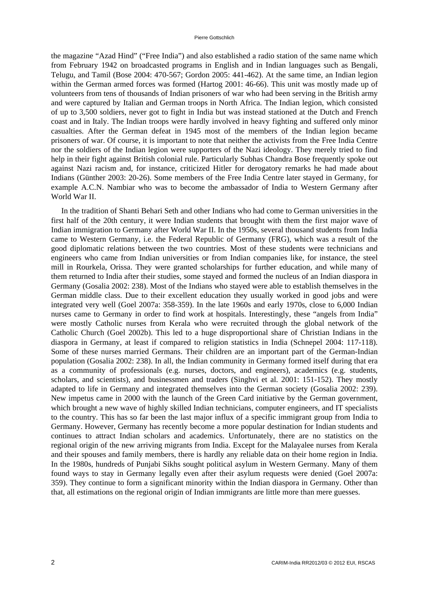the magazine "Azad Hind" ("Free India") and also established a radio station of the same name which from February 1942 on broadcasted programs in English and in Indian languages such as Bengali, Telugu, and Tamil (Bose 2004: 470-567; Gordon 2005: 441-462). At the same time, an Indian legion within the German armed forces was formed (Hartog 2001: 46-66). This unit was mostly made up of volunteers from tens of thousands of Indian prisoners of war who had been serving in the British army and were captured by Italian and German troops in North Africa. The Indian legion, which consisted of up to 3,500 soldiers, never got to fight in India but was instead stationed at the Dutch and French coast and in Italy. The Indian troops were hardly involved in heavy fighting and suffered only minor casualties. After the German defeat in 1945 most of the members of the Indian legion became prisoners of war. Of course, it is important to note that neither the activists from the Free India Centre nor the soldiers of the Indian legion were supporters of the Nazi ideology. They merely tried to find help in their fight against British colonial rule. Particularly Subhas Chandra Bose frequently spoke out against Nazi racism and, for instance, criticized Hitler for derogatory remarks he had made about Indians (Günther 2003: 20-26). Some members of the Free India Centre later stayed in Germany, for example A.C.N. Nambiar who was to become the ambassador of India to Western Germany after World War II.

In the tradition of Shanti Behari Seth and other Indians who had come to German universities in the first half of the 20th century, it were Indian students that brought with them the first major wave of Indian immigration to Germany after World War II. In the 1950s, several thousand students from India came to Western Germany, i.e. the Federal Republic of Germany (FRG), which was a result of the good diplomatic relations between the two countries. Most of these students were technicians and engineers who came from Indian universities or from Indian companies like, for instance, the steel mill in Rourkela, Orissa. They were granted scholarships for further education, and while many of them returned to India after their studies, some stayed and formed the nucleus of an Indian diaspora in Germany (Gosalia 2002: 238). Most of the Indians who stayed were able to establish themselves in the German middle class. Due to their excellent education they usually worked in good jobs and were integrated very well (Goel 2007a: 358-359). In the late 1960s and early 1970s, close to 6,000 Indian nurses came to Germany in order to find work at hospitals. Interestingly, these "angels from India" were mostly Catholic nurses from Kerala who were recruited through the global network of the Catholic Church (Goel 2002b). This led to a huge disproportional share of Christian Indians in the diaspora in Germany, at least if compared to religion statistics in India (Schnepel 2004: 117-118). Some of these nurses married Germans. Their children are an important part of the German-Indian population (Gosalia 2002: 238). In all, the Indian community in Germany formed itself during that era as a community of professionals (e.g. nurses, doctors, and engineers), academics (e.g. students, scholars, and scientists), and businessmen and traders (Singhvi et al. 2001: 151-152). They mostly adapted to life in Germany and integrated themselves into the German society (Gosalia 2002: 239). New impetus came in 2000 with the launch of the Green Card initiative by the German government, which brought a new wave of highly skilled Indian technicians, computer engineers, and IT specialists to the country. This has so far been the last major influx of a specific immigrant group from India to Germany. However, Germany has recently become a more popular destination for Indian students and continues to attract Indian scholars and academics. Unfortunately, there are no statistics on the regional origin of the new arriving migrants from India. Except for the Malayalee nurses from Kerala and their spouses and family members, there is hardly any reliable data on their home region in India. In the 1980s, hundreds of Punjabi Sikhs sought political asylum in Western Germany. Many of them found ways to stay in Germany legally even after their asylum requests were denied (Goel 2007a: 359). They continue to form a significant minority within the Indian diaspora in Germany. Other than that, all estimations on the regional origin of Indian immigrants are little more than mere guesses.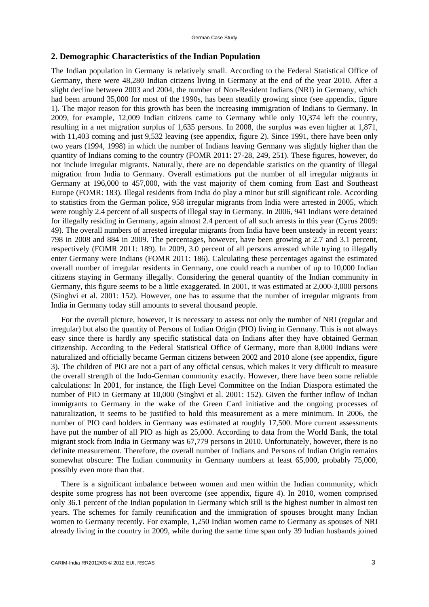#### **2. Demographic Characteristics of the Indian Population**

The Indian population in Germany is relatively small. According to the Federal Statistical Office of Germany, there were 48,280 Indian citizens living in Germany at the end of the year 2010. After a slight decline between 2003 and 2004, the number of Non-Resident Indians (NRI) in Germany, which had been around 35,000 for most of the 1990s, has been steadily growing since (see appendix, figure 1). The major reason for this growth has been the increasing immigration of Indians to Germany. In 2009, for example, 12,009 Indian citizens came to Germany while only 10,374 left the country, resulting in a net migration surplus of 1,635 persons. In 2008, the surplus was even higher at 1,871, with 11,403 coming and just 9,532 leaving (see appendix, figure 2). Since 1991, there have been only two years (1994, 1998) in which the number of Indians leaving Germany was slightly higher than the quantity of Indians coming to the country (FOMR 2011: 27-28, 249, 251). These figures, however, do not include irregular migrants. Naturally, there are no dependable statistics on the quantity of illegal migration from India to Germany. Overall estimations put the number of all irregular migrants in Germany at 196,000 to 457,000, with the vast majority of them coming from East and Southeast Europe (FOMR: 183). Illegal residents from India do play a minor but still significant role. According to statistics from the German police, 958 irregular migrants from India were arrested in 2005, which were roughly 2.4 percent of all suspects of illegal stay in Germany. In 2006, 941 Indians were detained for illegally residing in Germany, again almost 2.4 percent of all such arrests in this year (Cyrus 2009: 49). The overall numbers of arrested irregular migrants from India have been unsteady in recent years: 798 in 2008 and 884 in 2009. The percentages, however, have been growing at 2.7 and 3.1 percent, respectively (FOMR 2011: 189). In 2009, 3.0 percent of all persons arrested while trying to illegally enter Germany were Indians (FOMR 2011: 186). Calculating these percentages against the estimated overall number of irregular residents in Germany, one could reach a number of up to 10,000 Indian citizens staying in Germany illegally. Considering the general quantity of the Indian community in Germany, this figure seems to be a little exaggerated. In 2001, it was estimated at 2,000-3,000 persons (Singhvi et al. 2001: 152). However, one has to assume that the number of irregular migrants from India in Germany today still amounts to several thousand people.

For the overall picture, however, it is necessary to assess not only the number of NRI (regular and irregular) but also the quantity of Persons of Indian Origin (PIO) living in Germany. This is not always easy since there is hardly any specific statistical data on Indians after they have obtained German citizenship. According to the Federal Statistical Office of Germany, more than 8,000 Indians were naturalized and officially became German citizens between 2002 and 2010 alone (see appendix, figure 3). The children of PIO are not a part of any official census, which makes it very difficult to measure the overall strength of the Indo-German community exactly. However, there have been some reliable calculations: In 2001, for instance, the High Level Committee on the Indian Diaspora estimated the number of PIO in Germany at 10,000 (Singhvi et al. 2001: 152). Given the further inflow of Indian immigrants to Germany in the wake of the Green Card initiative and the ongoing processes of naturalization, it seems to be justified to hold this measurement as a mere minimum. In 2006, the number of PIO card holders in Germany was estimated at roughly 17,500. More current assessments have put the number of all PIO as high as 25,000. According to data from the World Bank, the total migrant stock from India in Germany was 67,779 persons in 2010. Unfortunately, however, there is no definite measurement. Therefore, the overall number of Indians and Persons of Indian Origin remains somewhat obscure: The Indian community in Germany numbers at least 65,000, probably 75,000, possibly even more than that.

There is a significant imbalance between women and men within the Indian community, which despite some progress has not been overcome (see appendix, figure 4). In 2010, women comprised only 36.1 percent of the Indian population in Germany which still is the highest number in almost ten years. The schemes for family reunification and the immigration of spouses brought many Indian women to Germany recently. For example, 1,250 Indian women came to Germany as spouses of NRI already living in the country in 2009, while during the same time span only 39 Indian husbands joined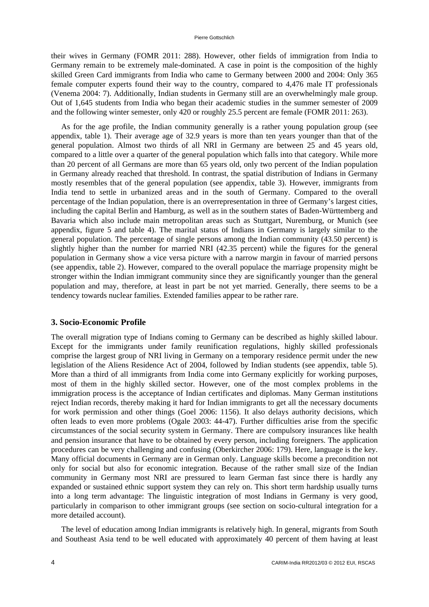#### Pierre Gottschlich

their wives in Germany (FOMR 2011: 288). However, other fields of immigration from India to Germany remain to be extremely male-dominated. A case in point is the composition of the highly skilled Green Card immigrants from India who came to Germany between 2000 and 2004: Only 365 female computer experts found their way to the country, compared to 4,476 male IT professionals (Venema 2004: 7). Additionally, Indian students in Germany still are an overwhelmingly male group. Out of 1,645 students from India who began their academic studies in the summer semester of 2009 and the following winter semester, only 420 or roughly 25.5 percent are female (FOMR 2011: 263).

As for the age profile, the Indian community generally is a rather young population group (see appendix, table 1). Their average age of 32.9 years is more than ten years younger than that of the general population. Almost two thirds of all NRI in Germany are between 25 and 45 years old, compared to a little over a quarter of the general population which falls into that category. While more than 20 percent of all Germans are more than 65 years old, only two percent of the Indian population in Germany already reached that threshold. In contrast, the spatial distribution of Indians in Germany mostly resembles that of the general population (see appendix, table 3). However, immigrants from India tend to settle in urbanized areas and in the south of Germany. Compared to the overall percentage of the Indian population, there is an overrepresentation in three of Germany's largest cities, including the capital Berlin and Hamburg, as well as in the southern states of Baden-Württemberg and Bavaria which also include main metropolitan areas such as Stuttgart, Nuremburg, or Munich (see appendix, figure 5 and table 4). The marital status of Indians in Germany is largely similar to the general population. The percentage of single persons among the Indian community (43.50 percent) is slightly higher than the number for married NRI (42.35 percent) while the figures for the general population in Germany show a vice versa picture with a narrow margin in favour of married persons (see appendix, table 2). However, compared to the overall populace the marriage propensity might be stronger within the Indian immigrant community since they are significantly younger than the general population and may, therefore, at least in part be not yet married. Generally, there seems to be a tendency towards nuclear families. Extended families appear to be rather rare.

## **3. Socio-Economic Profile**

The overall migration type of Indians coming to Germany can be described as highly skilled labour. Except for the immigrants under family reunification regulations, highly skilled professionals comprise the largest group of NRI living in Germany on a temporary residence permit under the new legislation of the Aliens Residence Act of 2004, followed by Indian students (see appendix, table 5). More than a third of all immigrants from India come into Germany explicitly for working purposes, most of them in the highly skilled sector. However, one of the most complex problems in the immigration process is the acceptance of Indian certificates and diplomas. Many German institutions reject Indian records, thereby making it hard for Indian immigrants to get all the necessary documents for work permission and other things (Goel 2006: 1156). It also delays authority decisions, which often leads to even more problems (Ogale 2003: 44-47). Further difficulties arise from the specific circumstances of the social security system in Germany. There are compulsory insurances like health and pension insurance that have to be obtained by every person, including foreigners. The application procedures can be very challenging and confusing (Oberkircher 2006: 179). Here, language is the key. Many official documents in Germany are in German only. Language skills become a precondition not only for social but also for economic integration. Because of the rather small size of the Indian community in Germany most NRI are pressured to learn German fast since there is hardly any expanded or sustained ethnic support system they can rely on. This short term hardship usually turns into a long term advantage: The linguistic integration of most Indians in Germany is very good, particularly in comparison to other immigrant groups (see section on socio-cultural integration for a more detailed account).

The level of education among Indian immigrants is relatively high. In general, migrants from South and Southeast Asia tend to be well educated with approximately 40 percent of them having at least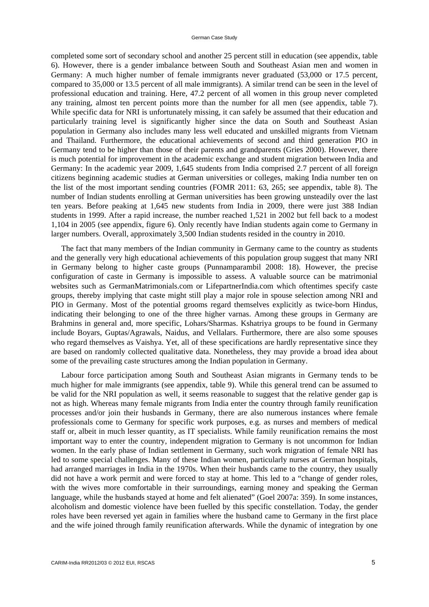completed some sort of secondary school and another 25 percent still in education (see appendix, table 6). However, there is a gender imbalance between South and Southeast Asian men and women in Germany: A much higher number of female immigrants never graduated (53,000 or 17.5 percent, compared to 35,000 or 13.5 percent of all male immigrants). A similar trend can be seen in the level of professional education and training. Here, 47.2 percent of all women in this group never completed any training, almost ten percent points more than the number for all men (see appendix, table 7). While specific data for NRI is unfortunately missing, it can safely be assumed that their education and particularly training level is significantly higher since the data on South and Southeast Asian population in Germany also includes many less well educated and unskilled migrants from Vietnam and Thailand. Furthermore, the educational achievements of second and third generation PIO in Germany tend to be higher than those of their parents and grandparents (Gries 2000). However, there is much potential for improvement in the academic exchange and student migration between India and Germany: In the academic year 2009, 1,645 students from India comprised 2.7 percent of all foreign citizens beginning academic studies at German universities or colleges, making India number ten on the list of the most important sending countries (FOMR 2011: 63, 265; see appendix, table 8). The number of Indian students enrolling at German universities has been growing unsteadily over the last ten years. Before peaking at 1,645 new students from India in 2009, there were just 388 Indian students in 1999. After a rapid increase, the number reached 1,521 in 2002 but fell back to a modest 1,104 in 2005 (see appendix, figure 6). Only recently have Indian students again come to Germany in larger numbers. Overall, approximately 3,500 Indian students resided in the country in 2010.

The fact that many members of the Indian community in Germany came to the country as students and the generally very high educational achievements of this population group suggest that many NRI in Germany belong to higher caste groups (Punnamparambil 2008: 18). However, the precise configuration of caste in Germany is impossible to assess. A valuable source can be matrimonial websites such as GermanMatrimonials.com or LifepartnerIndia.com which oftentimes specify caste groups, thereby implying that caste might still play a major role in spouse selection among NRI and PIO in Germany. Most of the potential grooms regard themselves explicitly as twice-born Hindus, indicating their belonging to one of the three higher varnas. Among these groups in Germany are Brahmins in general and, more specific, Lohars/Sharmas. Kshatriya groups to be found in Germany include Boyars, Guptas/Agrawals, Naidus, and Vellalars. Furthermore, there are also some spouses who regard themselves as Vaishya. Yet, all of these specifications are hardly representative since they are based on randomly collected qualitative data. Nonetheless, they may provide a broad idea about some of the prevailing caste structures among the Indian population in Germany.

Labour force participation among South and Southeast Asian migrants in Germany tends to be much higher for male immigrants (see appendix, table 9). While this general trend can be assumed to be valid for the NRI population as well, it seems reasonable to suggest that the relative gender gap is not as high. Whereas many female migrants from India enter the country through family reunification processes and/or join their husbands in Germany, there are also numerous instances where female professionals come to Germany for specific work purposes, e.g. as nurses and members of medical staff or, albeit in much lesser quantity, as IT specialists. While family reunification remains the most important way to enter the country, independent migration to Germany is not uncommon for Indian women. In the early phase of Indian settlement in Germany, such work migration of female NRI has led to some special challenges. Many of these Indian women, particularly nurses at German hospitals, had arranged marriages in India in the 1970s. When their husbands came to the country, they usually did not have a work permit and were forced to stay at home. This led to a "change of gender roles, with the wives more comfortable in their surroundings, earning money and speaking the German language, while the husbands stayed at home and felt alienated" (Goel 2007a: 359). In some instances, alcoholism and domestic violence have been fuelled by this specific constellation. Today, the gender roles have been reversed yet again in families where the husband came to Germany in the first place and the wife joined through family reunification afterwards. While the dynamic of integration by one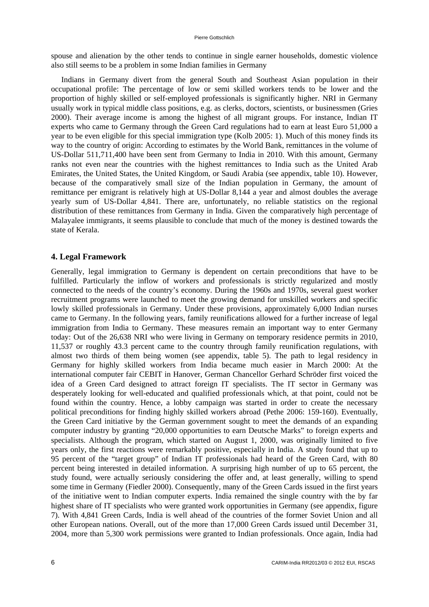#### Pierre Gottschlich

spouse and alienation by the other tends to continue in single earner households, domestic violence also still seems to be a problem in some Indian families in Germany

Indians in Germany divert from the general South and Southeast Asian population in their occupational profile: The percentage of low or semi skilled workers tends to be lower and the proportion of highly skilled or self-employed professionals is significantly higher. NRI in Germany usually work in typical middle class positions, e.g. as clerks, doctors, scientists, or businessmen (Gries 2000). Their average income is among the highest of all migrant groups. For instance, Indian IT experts who came to Germany through the Green Card regulations had to earn at least Euro 51,000 a year to be even eligible for this special immigration type (Kolb 2005: 1). Much of this money finds its way to the country of origin: According to estimates by the World Bank, remittances in the volume of US-Dollar 511,711,400 have been sent from Germany to India in 2010. With this amount, Germany ranks not even near the countries with the highest remittances to India such as the United Arab Emirates, the United States, the United Kingdom, or Saudi Arabia (see appendix, table 10). However, because of the comparatively small size of the Indian population in Germany, the amount of remittance per emigrant is relatively high at US-Dollar 8,144 a year and almost doubles the average yearly sum of US-Dollar 4,841. There are, unfortunately, no reliable statistics on the regional distribution of these remittances from Germany in India. Given the comparatively high percentage of Malayalee immigrants, it seems plausible to conclude that much of the money is destined towards the state of Kerala.

## **4. Legal Framework**

Generally, legal immigration to Germany is dependent on certain preconditions that have to be fulfilled. Particularly the inflow of workers and professionals is strictly regularized and mostly connected to the needs of the country's economy. During the 1960s and 1970s, several guest worker recruitment programs were launched to meet the growing demand for unskilled workers and specific lowly skilled professionals in Germany. Under these provisions, approximately 6,000 Indian nurses came to Germany. In the following years, family reunifications allowed for a further increase of legal immigration from India to Germany. These measures remain an important way to enter Germany today: Out of the 26,638 NRI who were living in Germany on temporary residence permits in 2010, 11,537 or roughly 43.3 percent came to the country through family reunification regulations, with almost two thirds of them being women (see appendix, table 5). The path to legal residency in Germany for highly skilled workers from India became much easier in March 2000: At the international computer fair CEBIT in Hanover, German Chancellor Gerhard Schröder first voiced the idea of a Green Card designed to attract foreign IT specialists. The IT sector in Germany was desperately looking for well-educated and qualified professionals which, at that point, could not be found within the country. Hence, a lobby campaign was started in order to create the necessary political preconditions for finding highly skilled workers abroad (Pethe 2006: 159-160). Eventually, the Green Card initiative by the German government sought to meet the demands of an expanding computer industry by granting "20,000 opportunities to earn Deutsche Marks" to foreign experts and specialists. Although the program, which started on August 1, 2000, was originally limited to five years only, the first reactions were remarkably positive, especially in India. A study found that up to 95 percent of the "target group" of Indian IT professionals had heard of the Green Card, with 80 percent being interested in detailed information. A surprising high number of up to 65 percent, the study found, were actually seriously considering the offer and, at least generally, willing to spend some time in Germany (Fiedler 2000). Consequently, many of the Green Cards issued in the first years of the initiative went to Indian computer experts. India remained the single country with the by far highest share of IT specialists who were granted work opportunities in Germany (see appendix, figure 7). With 4,841 Green Cards, India is well ahead of the countries of the former Soviet Union and all other European nations. Overall, out of the more than 17,000 Green Cards issued until December 31, 2004, more than 5,300 work permissions were granted to Indian professionals. Once again, India had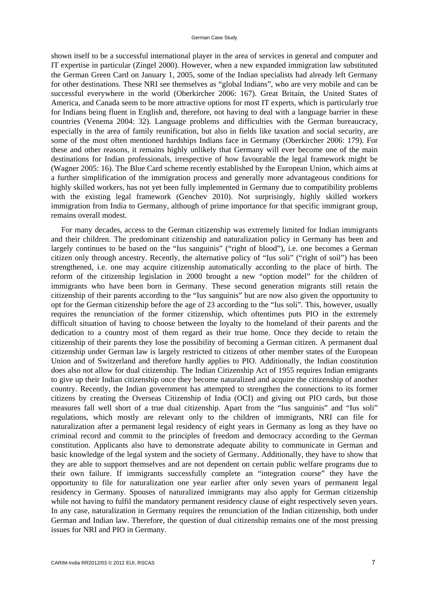shown itself to be a successful international player in the area of services in general and computer and IT expertise in particular (Zingel 2000). However, when a new expanded immigration law substituted the German Green Card on January 1, 2005, some of the Indian specialists had already left Germany for other destinations. These NRI see themselves as "global Indians", who are very mobile and can be successful everywhere in the world (Oberkircher 2006: 167). Great Britain, the United States of America, and Canada seem to be more attractive options for most IT experts, which is particularly true for Indians being fluent in English and, therefore, not having to deal with a language barrier in these countries (Venema 2004: 32). Language problems and difficulties with the German bureaucracy, especially in the area of family reunification, but also in fields like taxation and social security, are some of the most often mentioned hardships Indians face in Germany (Oberkircher 2006: 179). For these and other reasons, it remains highly unlikely that Germany will ever become one of the main destinations for Indian professionals, irrespective of how favourable the legal framework might be (Wagner 2005: 16). The Blue Card scheme recently established by the European Union, which aims at a further simplification of the immigration process and generally more advantageous conditions for highly skilled workers, has not yet been fully implemented in Germany due to compatibility problems with the existing legal framework (Genchev 2010). Not surprisingly, highly skilled workers immigration from India to Germany, although of prime importance for that specific immigrant group, remains overall modest.

For many decades, access to the German citizenship was extremely limited for Indian immigrants and their children. The predominant citizenship and naturalization policy in Germany has been and largely continues to be based on the "Ius sanguinis" ("right of blood"), i.e. one becomes a German citizen only through ancestry. Recently, the alternative policy of "Ius soli" ("right of soil") has been strengthened, i.e. one may acquire citizenship automatically according to the place of birth. The reform of the citizenship legislation in 2000 brought a new "option model" for the children of immigrants who have been born in Germany. These second generation migrants still retain the citizenship of their parents according to the "Ius sanguinis" but are now also given the opportunity to opt for the German citizenship before the age of 23 according to the "Ius soli". This, however, usually requires the renunciation of the former citizenship, which oftentimes puts PIO in the extremely difficult situation of having to choose between the loyalty to the homeland of their parents and the dedication to a country most of them regard as their true home. Once they decide to retain the citizenship of their parents they lose the possibility of becoming a German citizen. A permanent dual citizenship under German law is largely restricted to citizens of other member states of the European Union and of Switzerland and therefore hardly applies to PIO. Additionally, the Indian constitution does also not allow for dual citizenship. The Indian Citizenship Act of 1955 requires Indian emigrants to give up their Indian citizenship once they become naturalized and acquire the citizenship of another country. Recently, the Indian government has attempted to strengthen the connections to its former citizens by creating the Overseas Citizenship of India (OCI) and giving out PIO cards, but those measures fall well short of a true dual citizenship. Apart from the "Ius sanguinis" and "Ius soli" regulations, which mostly are relevant only to the children of immigrants, NRI can file for naturalization after a permanent legal residency of eight years in Germany as long as they have no criminal record and commit to the principles of freedom and democracy according to the German constitution. Applicants also have to demonstrate adequate ability to communicate in German and basic knowledge of the legal system and the society of Germany. Additionally, they have to show that they are able to support themselves and are not dependent on certain public welfare programs due to their own failure. If immigrants successfully complete an "integration course" they have the opportunity to file for naturalization one year earlier after only seven years of permanent legal residency in Germany. Spouses of naturalized immigrants may also apply for German citizenship while not having to fulfil the mandatory permanent residency clause of eight respectively seven years. In any case, naturalization in Germany requires the renunciation of the Indian citizenship, both under German and Indian law. Therefore, the question of dual citizenship remains one of the most pressing issues for NRI and PIO in Germany.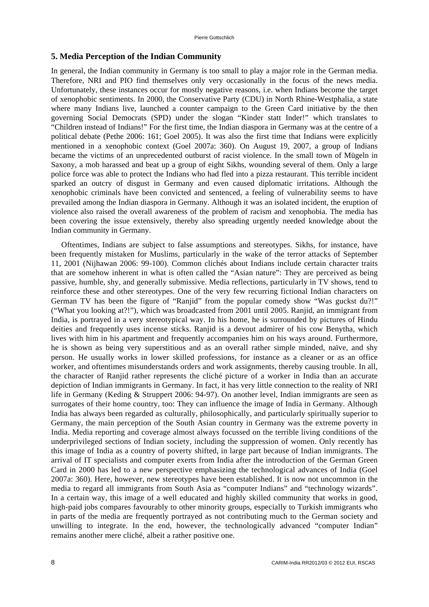#### **5. Media Perception of the Indian Community**

In general, the Indian community in Germany is too small to play a major role in the German media. Therefore, NRI and PIO find themselves only very occasionally in the focus of the news media. Unfortunately, these instances occur for mostly negative reasons, i.e. when Indians become the target of xenophobic sentiments. In 2000, the Conservative Party (CDU) in North Rhine-Westphalia, a state where many Indians live, launched a counter campaign to the Green Card initiative by the then governing Social Democrats (SPD) under the slogan "Kinder statt Inder!" which translates to "Children instead of Indians!" For the first time, the Indian diaspora in Germany was at the centre of a political debate (Pethe 2006: 161; Goel 2005). It was also the first time that Indians were explicitly mentioned in a xenophobic context (Goel 2007a: 360). On August 19, 2007, a group of Indians became the victims of an unprecedented outburst of racist violence. In the small town of Mügeln in Saxony, a mob harassed and beat up a group of eight Sikhs, wounding several of them. Only a large police force was able to protect the Indians who had fled into a pizza restaurant. This terrible incident sparked an outcry of disgust in Germany and even caused diplomatic irritations. Although the xenophobic criminals have been convicted and sentenced, a feeling of vulnerability seems to have prevailed among the Indian diaspora in Germany. Although it was an isolated incident, the eruption of violence also raised the overall awareness of the problem of racism and xenophobia. The media has been covering the issue extensively, thereby also spreading urgently needed knowledge about the Indian community in Germany.

Oftentimes, Indians are subject to false assumptions and stereotypes. Sikhs, for instance, have been frequently mistaken for Muslims, particularly in the wake of the terror attacks of September 11, 2001 (Nijhawan 2006: 99-100). Common clichés about Indians include certain character traits that are somehow inherent in what is often called the "Asian nature": They are perceived as being passive, humble, shy, and generally submissive. Media reflections, particularly in TV shows, tend to reinforce these and other stereotypes. One of the very few recurring fictional Indian characters on German TV has been the figure of "Ranjid" from the popular comedy show "Was guckst du?!" ("What you looking at?!"), which was broadcasted from 2001 until 2005. Ranjid, an immigrant from India, is portrayed in a very stereotypical way. In his home, he is surrounded by pictures of Hindu deities and frequently uses incense sticks. Ranjid is a devout admirer of his cow Benytha, which lives with him in his apartment and frequently accompanies him on his ways around. Furthermore, he is shown as being very superstitious and as an overall rather simple minded, naïve, and shy person. He usually works in lower skilled professions, for instance as a cleaner or as an office worker, and oftentimes misunderstands orders and work assignments, thereby causing trouble. In all, the character of Ranjid rather represents the cliché picture of a worker in India than an accurate depiction of Indian immigrants in Germany. In fact, it has very little connection to the reality of NRI life in Germany (Keding & Struppert 2006: 94-97). On another level, Indian immigrants are seen as surrogates of their home country, too: They can influence the image of India in Germany. Although India has always been regarded as culturally, philosophically, and particularly spiritually superior to Germany, the main perception of the South Asian country in Germany was the extreme poverty in India. Media reporting and coverage almost always focussed on the terrible living conditions of the underprivileged sections of Indian society, including the suppression of women. Only recently has this image of India as a country of poverty shifted, in large part because of Indian immigrants. The arrival of IT specialists and computer exerts from India after the introduction of the German Green Card in 2000 has led to a new perspective emphasizing the technological advances of India (Goel 2007a: 360). Here, however, new stereotypes have been established. It is now not uncommon in the media to regard all immigrants from South Asia as "computer Indians" and "technology wizards". In a certain way, this image of a well educated and highly skilled community that works in good, high-paid jobs compares favourably to other minority groups, especially to Turkish immigrants who in parts of the media are frequently portrayed as not contributing much to the German society and unwilling to integrate. In the end, however, the technologically advanced "computer Indian" remains another mere cliché, albeit a rather positive one.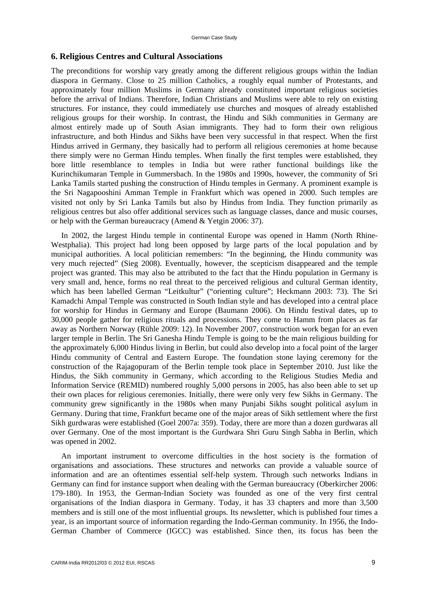## **6. Religious Centres and Cultural Associations**

The preconditions for worship vary greatly among the different religious groups within the Indian diaspora in Germany. Close to 25 million Catholics, a roughly equal number of Protestants, and approximately four million Muslims in Germany already constituted important religious societies before the arrival of Indians. Therefore, Indian Christians and Muslims were able to rely on existing structures. For instance, they could immediately use churches and mosques of already established religious groups for their worship. In contrast, the Hindu and Sikh communities in Germany are almost entirely made up of South Asian immigrants. They had to form their own religious infrastructure, and both Hindus and Sikhs have been very successful in that respect. When the first Hindus arrived in Germany, they basically had to perform all religious ceremonies at home because there simply were no German Hindu temples. When finally the first temples were established, they bore little resemblance to temples in India but were rather functional buildings like the Kurinchikumaran Temple in Gummersbach. In the 1980s and 1990s, however, the community of Sri Lanka Tamils started pushing the construction of Hindu temples in Germany. A prominent example is the Sri Nagapooshini Amman Temple in Frankfurt which was opened in 2000. Such temples are visited not only by Sri Lanka Tamils but also by Hindus from India. They function primarily as religious centres but also offer additional services such as language classes, dance and music courses, or help with the German bureaucracy (Amend & Yetgin 2006: 37).

In 2002, the largest Hindu temple in continental Europe was opened in Hamm (North Rhine-Westphalia). This project had long been opposed by large parts of the local population and by municipal authorities. A local politician remembers: "In the beginning, the Hindu community was very much rejected" (Sieg 2008). Eventually, however, the scepticism disappeared and the temple project was granted. This may also be attributed to the fact that the Hindu population in Germany is very small and, hence, forms no real threat to the perceived religious and cultural German identity, which has been labelled German "Leitkultur" ("orienting culture"; Heckmann 2003: 73). The Sri Kamadchi Ampal Temple was constructed in South Indian style and has developed into a central place for worship for Hindus in Germany and Europe (Baumann 2006). On Hindu festival dates, up to 30,000 people gather for religious rituals and processions. They come to Hamm from places as far away as Northern Norway (Rühle 2009: 12). In November 2007, construction work began for an even larger temple in Berlin. The Sri Ganesha Hindu Temple is going to be the main religious building for the approximately 6,000 Hindus living in Berlin, but could also develop into a focal point of the larger Hindu community of Central and Eastern Europe. The foundation stone laying ceremony for the construction of the Rajagopuram of the Berlin temple took place in September 2010. Just like the Hindus, the Sikh community in Germany, which according to the Religious Studies Media and Information Service (REMID) numbered roughly 5,000 persons in 2005, has also been able to set up their own places for religious ceremonies. Initially, there were only very few Sikhs in Germany. The community grew significantly in the 1980s when many Punjabi Sikhs sought political asylum in Germany. During that time, Frankfurt became one of the major areas of Sikh settlement where the first Sikh gurdwaras were established (Goel 2007a: 359). Today, there are more than a dozen gurdwaras all over Germany. One of the most important is the Gurdwara Shri Guru Singh Sabha in Berlin, which was opened in 2002.

An important instrument to overcome difficulties in the host society is the formation of organisations and associations. These structures and networks can provide a valuable source of information and are an oftentimes essential self-help system. Through such networks Indians in Germany can find for instance support when dealing with the German bureaucracy (Oberkircher 2006: 179-180). In 1953, the German-Indian Society was founded as one of the very first central organisations of the Indian diaspora in Germany. Today, it has 33 chapters and more than 3,500 members and is still one of the most influential groups. Its newsletter, which is published four times a year, is an important source of information regarding the Indo-German community. In 1956, the Indo-German Chamber of Commerce (IGCC) was established. Since then, its focus has been the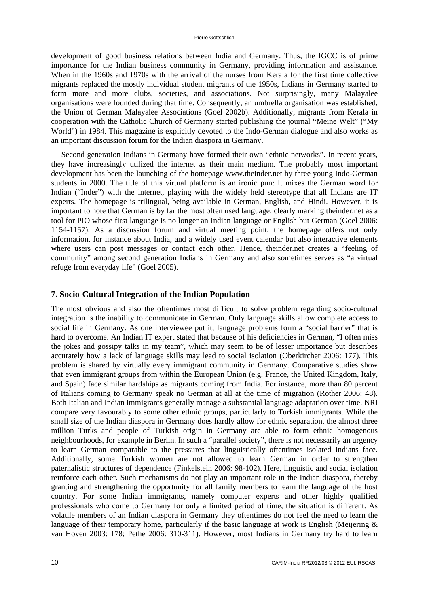development of good business relations between India and Germany. Thus, the IGCC is of prime importance for the Indian business community in Germany, providing information and assistance. When in the 1960s and 1970s with the arrival of the nurses from Kerala for the first time collective migrants replaced the mostly individual student migrants of the 1950s, Indians in Germany started to form more and more clubs, societies, and associations. Not surprisingly, many Malayalee organisations were founded during that time. Consequently, an umbrella organisation was established, the Union of German Malayalee Associations (Goel 2002b). Additionally, migrants from Kerala in cooperation with the Catholic Church of Germany started publishing the journal "Meine Welt" ("My World") in 1984. This magazine is explicitly devoted to the Indo-German dialogue and also works as an important discussion forum for the Indian diaspora in Germany.

Second generation Indians in Germany have formed their own "ethnic networks". In recent years, they have increasingly utilized the internet as their main medium. The probably most important development has been the launching of the homepage www.theinder.net by three young Indo-German students in 2000. The title of this virtual platform is an ironic pun: It mixes the German word for Indian ("Inder") with the internet, playing with the widely held stereotype that all Indians are IT experts. The homepage is trilingual, being available in German, English, and Hindi. However, it is important to note that German is by far the most often used language, clearly marking theinder.net as a tool for PIO whose first language is no longer an Indian language or English but German (Goel 2006: 1154-1157). As a discussion forum and virtual meeting point, the homepage offers not only information, for instance about India, and a widely used event calendar but also interactive elements where users can post messages or contact each other. Hence, theinder.net creates a "feeling of community" among second generation Indians in Germany and also sometimes serves as "a virtual refuge from everyday life" (Goel 2005).

#### **7. Socio-Cultural Integration of the Indian Population**

The most obvious and also the oftentimes most difficult to solve problem regarding socio-cultural integration is the inability to communicate in German. Only language skills allow complete access to social life in Germany. As one interviewee put it, language problems form a "social barrier" that is hard to overcome. An Indian IT expert stated that because of his deficiencies in German, "I often miss the jokes and gossipy talks in my team", which may seem to be of lesser importance but describes accurately how a lack of language skills may lead to social isolation (Oberkircher 2006: 177). This problem is shared by virtually every immigrant community in Germany. Comparative studies show that even immigrant groups from within the European Union (e.g. France, the United Kingdom, Italy, and Spain) face similar hardships as migrants coming from India. For instance, more than 80 percent of Italians coming to Germany speak no German at all at the time of migration (Rother 2006: 48). Both Italian and Indian immigrants generally manage a substantial language adaptation over time. NRI compare very favourably to some other ethnic groups, particularly to Turkish immigrants. While the small size of the Indian diaspora in Germany does hardly allow for ethnic separation, the almost three million Turks and people of Turkish origin in Germany are able to form ethnic homogenous neighbourhoods, for example in Berlin. In such a "parallel society", there is not necessarily an urgency to learn German comparable to the pressures that linguistically oftentimes isolated Indians face. Additionally, some Turkish women are not allowed to learn German in order to strengthen paternalistic structures of dependence (Finkelstein 2006: 98-102). Here, linguistic and social isolation reinforce each other. Such mechanisms do not play an important role in the Indian diaspora, thereby granting and strengthening the opportunity for all family members to learn the language of the host country. For some Indian immigrants, namely computer experts and other highly qualified professionals who come to Germany for only a limited period of time, the situation is different. As volatile members of an Indian diaspora in Germany they oftentimes do not feel the need to learn the language of their temporary home, particularly if the basic language at work is English (Meijering & van Hoven 2003: 178; Pethe 2006: 310-311). However, most Indians in Germany try hard to learn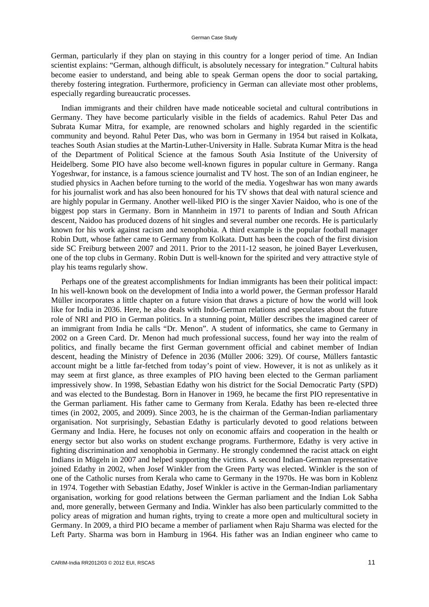German, particularly if they plan on staying in this country for a longer period of time. An Indian scientist explains: "German, although difficult, is absolutely necessary for integration." Cultural habits become easier to understand, and being able to speak German opens the door to social partaking, thereby fostering integration. Furthermore, proficiency in German can alleviate most other problems, especially regarding bureaucratic processes.

Indian immigrants and their children have made noticeable societal and cultural contributions in Germany. They have become particularly visible in the fields of academics. Rahul Peter Das and Subrata Kumar Mitra, for example, are renowned scholars and highly regarded in the scientific community and beyond. Rahul Peter Das, who was born in Germany in 1954 but raised in Kolkata, teaches South Asian studies at the Martin-Luther-University in Halle. Subrata Kumar Mitra is the head of the Department of Political Science at the famous South Asia Institute of the University of Heidelberg. Some PIO have also become well-known figures in popular culture in Germany. Ranga Yogeshwar, for instance, is a famous science journalist and TV host. The son of an Indian engineer, he studied physics in Aachen before turning to the world of the media. Yogeshwar has won many awards for his journalist work and has also been honoured for his TV shows that deal with natural science and are highly popular in Germany. Another well-liked PIO is the singer Xavier Naidoo, who is one of the biggest pop stars in Germany. Born in Mannheim in 1971 to parents of Indian and South African descent, Naidoo has produced dozens of hit singles and several number one records. He is particularly known for his work against racism and xenophobia. A third example is the popular football manager Robin Dutt, whose father came to Germany from Kolkata. Dutt has been the coach of the first division side SC Freiburg between 2007 and 2011. Prior to the 2011-12 season, he joined Bayer Leverkusen, one of the top clubs in Germany. Robin Dutt is well-known for the spirited and very attractive style of play his teams regularly show.

Perhaps one of the greatest accomplishments for Indian immigrants has been their political impact: In his well-known book on the development of India into a world power, the German professor Harald Müller incorporates a little chapter on a future vision that draws a picture of how the world will look like for India in 2036. Here, he also deals with Indo-German relations and speculates about the future role of NRI and PIO in German politics. In a stunning point, Müller describes the imagined career of an immigrant from India he calls "Dr. Menon". A student of informatics, she came to Germany in 2002 on a Green Card. Dr. Menon had much professional success, found her way into the realm of politics, and finally became the first German government official and cabinet member of Indian descent, heading the Ministry of Defence in 2036 (Müller 2006: 329). Of course, Müllers fantastic account might be a little far-fetched from today's point of view. However, it is not as unlikely as it may seem at first glance, as three examples of PIO having been elected to the German parliament impressively show. In 1998, Sebastian Edathy won his district for the Social Democratic Party (SPD) and was elected to the Bundestag. Born in Hanover in 1969, he became the first PIO representative in the German parliament. His father came to Germany from Kerala. Edathy has been re-elected three times (in 2002, 2005, and 2009). Since 2003, he is the chairman of the German-Indian parliamentary organisation. Not surprisingly, Sebastian Edathy is particularly devoted to good relations between Germany and India. Here, he focuses not only on economic affairs and cooperation in the health or energy sector but also works on student exchange programs. Furthermore, Edathy is very active in fighting discrimination and xenophobia in Germany. He strongly condemned the racist attack on eight Indians in Mügeln in 2007 and helped supporting the victims. A second Indian-German representative joined Edathy in 2002, when Josef Winkler from the Green Party was elected. Winkler is the son of one of the Catholic nurses from Kerala who came to Germany in the 1970s. He was born in Koblenz in 1974. Together with Sebastian Edathy, Josef Winkler is active in the German-Indian parliamentary organisation, working for good relations between the German parliament and the Indian Lok Sabha and, more generally, between Germany and India. Winkler has also been particularly committed to the policy areas of migration and human rights, trying to create a more open and multicultural society in Germany. In 2009, a third PIO became a member of parliament when Raju Sharma was elected for the Left Party. Sharma was born in Hamburg in 1964. His father was an Indian engineer who came to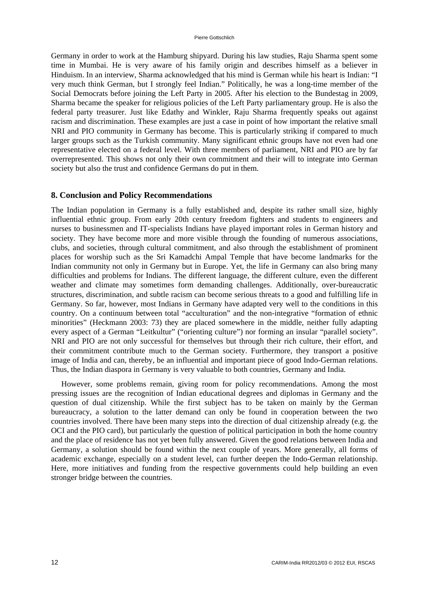Germany in order to work at the Hamburg shipyard. During his law studies, Raju Sharma spent some time in Mumbai. He is very aware of his family origin and describes himself as a believer in Hinduism. In an interview, Sharma acknowledged that his mind is German while his heart is Indian: "I very much think German, but I strongly feel Indian." Politically, he was a long-time member of the Social Democrats before joining the Left Party in 2005. After his election to the Bundestag in 2009, Sharma became the speaker for religious policies of the Left Party parliamentary group. He is also the federal party treasurer. Just like Edathy and Winkler, Raju Sharma frequently speaks out against racism and discrimination. These examples are just a case in point of how important the relative small NRI and PIO community in Germany has become. This is particularly striking if compared to much larger groups such as the Turkish community. Many significant ethnic groups have not even had one representative elected on a federal level. With three members of parliament, NRI and PIO are by far overrepresented. This shows not only their own commitment and their will to integrate into German society but also the trust and confidence Germans do put in them.

#### **8. Conclusion and Policy Recommendations**

The Indian population in Germany is a fully established and, despite its rather small size, highly influential ethnic group. From early 20th century freedom fighters and students to engineers and nurses to businessmen and IT-specialists Indians have played important roles in German history and society. They have become more and more visible through the founding of numerous associations, clubs, and societies, through cultural commitment, and also through the establishment of prominent places for worship such as the Sri Kamadchi Ampal Temple that have become landmarks for the Indian community not only in Germany but in Europe. Yet, the life in Germany can also bring many difficulties and problems for Indians. The different language, the different culture, even the different weather and climate may sometimes form demanding challenges. Additionally, over-bureaucratic structures, discrimination, and subtle racism can become serious threats to a good and fulfilling life in Germany. So far, however, most Indians in Germany have adapted very well to the conditions in this country. On a continuum between total "acculturation" and the non-integrative "formation of ethnic minorities" (Heckmann 2003: 73) they are placed somewhere in the middle, neither fully adapting every aspect of a German "Leitkultur" ("orienting culture") nor forming an insular "parallel society". NRI and PIO are not only successful for themselves but through their rich culture, their effort, and their commitment contribute much to the German society. Furthermore, they transport a positive image of India and can, thereby, be an influential and important piece of good Indo-German relations. Thus, the Indian diaspora in Germany is very valuable to both countries, Germany and India.

However, some problems remain, giving room for policy recommendations. Among the most pressing issues are the recognition of Indian educational degrees and diplomas in Germany and the question of dual citizenship. While the first subject has to be taken on mainly by the German bureaucracy, a solution to the latter demand can only be found in cooperation between the two countries involved. There have been many steps into the direction of dual citizenship already (e.g. the OCI and the PIO card), but particularly the question of political participation in both the home country and the place of residence has not yet been fully answered. Given the good relations between India and Germany, a solution should be found within the next couple of years. More generally, all forms of academic exchange, especially on a student level, can further deepen the Indo-German relationship. Here, more initiatives and funding from the respective governments could help building an even stronger bridge between the countries.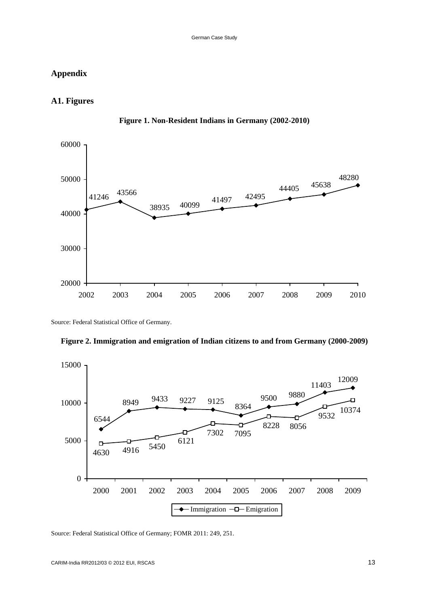# **Appendix**

## **A1. Figures**



**Figure 1. Non-Resident Indians in Germany (2002-2010)** 

Source: Federal Statistical Office of Germany.





Source: Federal Statistical Office of Germany; FOMR 2011: 249, 251.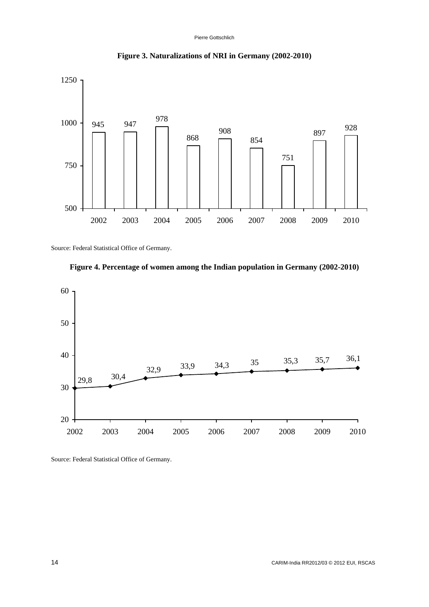

**Figure 3. Naturalizations of NRI in Germany (2002-2010)** 

Source: Federal Statistical Office of Germany.





Source: Federal Statistical Office of Germany.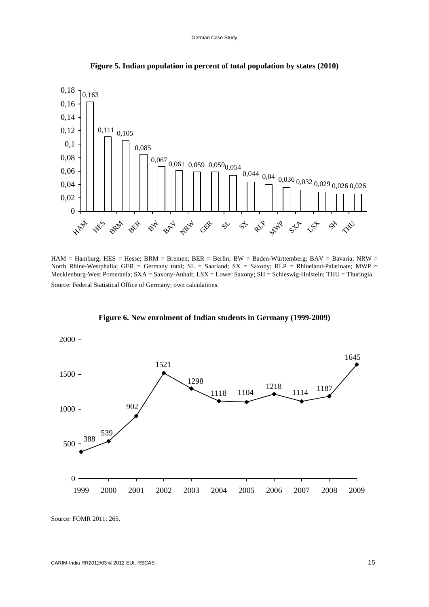

**Figure 5. Indian population in percent of total population by states (2010)** 

HAM = Hamburg; HES = Hesse; BRM = Bremen; BER = Berlin; BW = Baden-Württemberg; BAV = Bavaria; NRW = North Rhine-Westphalia; GER = Germany total;  $SL =$  Saarland;  $SX =$  Saxony; RLP = Rhineland-Palatinate; MWP = Mecklenburg-West Pomerania; SXA = Saxony-Anhalt; LSX = Lower Saxony; SH = Schleswig-Holstein; THU = Thuringia. Source: Federal Statistical Office of Germany; own calculations.



**Figure 6. New enrolment of Indian students in Germany (1999-2009)** 

Source: FOMR 2011: 265.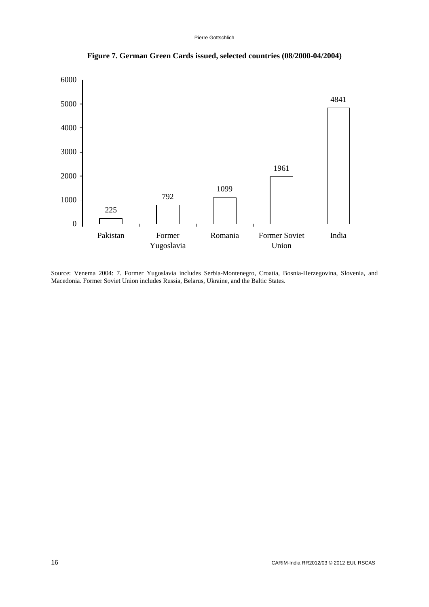

**Figure 7. German Green Cards issued, selected countries (08/2000-04/2004)** 

Source: Venema 2004: 7. Former Yugoslavia includes Serbia-Montenegro, Croatia, Bosnia-Herzegovina, Slovenia, and Macedonia. Former Soviet Union includes Russia, Belarus, Ukraine, and the Baltic States.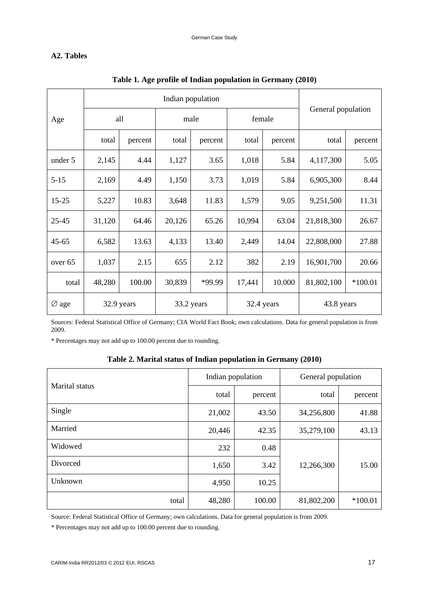# **A2. Tables**

|                   | Indian population |            |        |            |        |            |                    |           |
|-------------------|-------------------|------------|--------|------------|--------|------------|--------------------|-----------|
| Age               |                   | all        |        | male       | female |            | General population |           |
|                   | total             | percent    | total  | percent    | total  | percent    | total              | percent   |
| under 5           | 2,145             | 4.44       | 1,127  | 3.65       | 1,018  | 5.84       | 4,117,300          | 5.05      |
| $5 - 15$          | 2,169             | 4.49       | 1,150  | 3.73       | 1,019  | 5.84       | 6,905,300          | 8.44      |
| $15 - 25$         | 5,227             | 10.83      | 3,648  | 11.83      | 1,579  | 9.05       | 9,251,500          | 11.31     |
| $25 - 45$         | 31,120            | 64.46      | 20,126 | 65.26      | 10,994 | 63.04      | 21,818,300         | 26.67     |
| $45 - 65$         | 6,582             | 13.63      | 4,133  | 13.40      | 2,449  | 14.04      | 22,808,000         | 27.88     |
| over 65           | 1,037             | 2.15       | 655    | 2.12       | 382    | 2.19       | 16,901,700         | 20.66     |
| total             | 48,280            | 100.00     | 30,839 | *99.99     | 17,441 | 10.000     | 81,802,100         | $*100.01$ |
| $\varnothing$ age |                   | 32.9 years |        | 33.2 years |        | 32.4 years | 43.8 years         |           |

## **Table 1. Age profile of Indian population in Germany (2010)**

Sources: Federal Statistical Office of Germany; CIA World Fact Book; own calculations. Data for general population is from 2009.

\* Percentages may not add up to 100.00 percent due to rounding.

## **Table 2. Marital status of Indian population in Germany (2010)**

|                |        | Indian population | General population |           |  |
|----------------|--------|-------------------|--------------------|-----------|--|
| Marital status | total  | percent           | total              | percent   |  |
| Single         | 21,002 | 43.50             | 34,256,800         | 41.88     |  |
| Married        | 20,446 | 42.35             | 35,279,100         | 43.13     |  |
| Widowed        | 232    | 0.48              |                    |           |  |
| Divorced       | 1,650  | 3.42              | 12,266,300         | 15.00     |  |
| Unknown        | 4,950  | 10.25             |                    |           |  |
| total          | 48,280 | 100.00            | 81,802,200         | $*100.01$ |  |

Source: Federal Statistical Office of Germany; own calculations. Data for general population is from 2009.

\* Percentages may not add up to 100.00 percent due to rounding.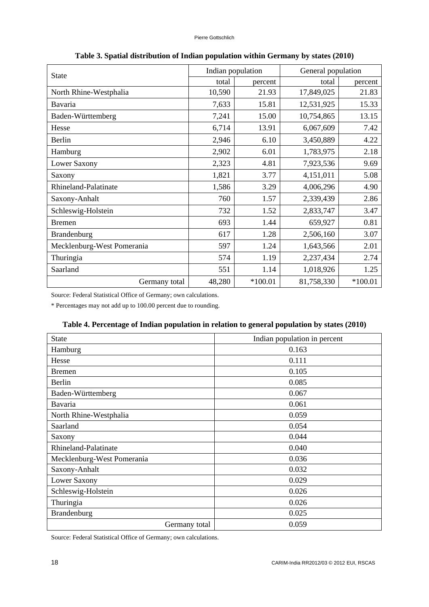| <b>State</b>               | Indian population |           |            | General population |  |  |
|----------------------------|-------------------|-----------|------------|--------------------|--|--|
|                            | total             | percent   | total      | percent            |  |  |
| North Rhine-Westphalia     | 10,590            | 21.93     | 17,849,025 | 21.83              |  |  |
| Bavaria                    | 7,633             | 15.81     | 12,531,925 | 15.33              |  |  |
| Baden-Württemberg          | 7,241             | 15.00     | 10,754,865 | 13.15              |  |  |
| Hesse                      | 6,714             | 13.91     | 6,067,609  | 7.42               |  |  |
| Berlin                     | 2,946             | 6.10      | 3,450,889  | 4.22               |  |  |
| Hamburg                    | 2,902             | 6.01      | 1,783,975  | 2.18               |  |  |
| Lower Saxony               | 2,323             | 4.81      | 7,923,536  | 9.69               |  |  |
| Saxony                     | 1,821             | 3.77      | 4,151,011  | 5.08               |  |  |
| Rhineland-Palatinate       | 1,586             | 3.29      | 4,006,296  | 4.90               |  |  |
| Saxony-Anhalt              | 760               | 1.57      | 2,339,439  | 2.86               |  |  |
| Schleswig-Holstein         | 732               | 1.52      | 2,833,747  | 3.47               |  |  |
| <b>Bremen</b>              | 693               | 1.44      | 659,927    | 0.81               |  |  |
| <b>Brandenburg</b>         | 617               | 1.28      | 2,506,160  | 3.07               |  |  |
| Mecklenburg-West Pomerania | 597               | 1.24      | 1,643,566  | 2.01               |  |  |
| Thuringia                  | 574               | 1.19      | 2,237,434  | 2.74               |  |  |
| Saarland                   | 551               | 1.14      | 1,018,926  | 1.25               |  |  |
| Germany total              | 48,280            | $*100.01$ | 81,758,330 | $*100.01$          |  |  |

**Table 3. Spatial distribution of Indian population within Germany by states (2010)** 

Source: Federal Statistical Office of Germany; own calculations.

\* Percentages may not add up to 100.00 percent due to rounding.

# **Table 4. Percentage of Indian population in relation to general population by states (2010)**

| <b>State</b>               | Indian population in percent |
|----------------------------|------------------------------|
| Hamburg                    | 0.163                        |
| Hesse                      | 0.111                        |
| <b>Bremen</b>              | 0.105                        |
| Berlin                     | 0.085                        |
| Baden-Württemberg          | 0.067                        |
| Bavaria                    | 0.061                        |
| North Rhine-Westphalia     | 0.059                        |
| Saarland                   | 0.054                        |
| Saxony                     | 0.044                        |
| Rhineland-Palatinate       | 0.040                        |
| Mecklenburg-West Pomerania | 0.036                        |
| Saxony-Anhalt              | 0.032                        |
| Lower Saxony               | 0.029                        |
| Schleswig-Holstein         | 0.026                        |
| Thuringia                  | 0.026                        |
| Brandenburg                | 0.025                        |
| Germany total              | 0.059                        |

Source: Federal Statistical Office of Germany; own calculations.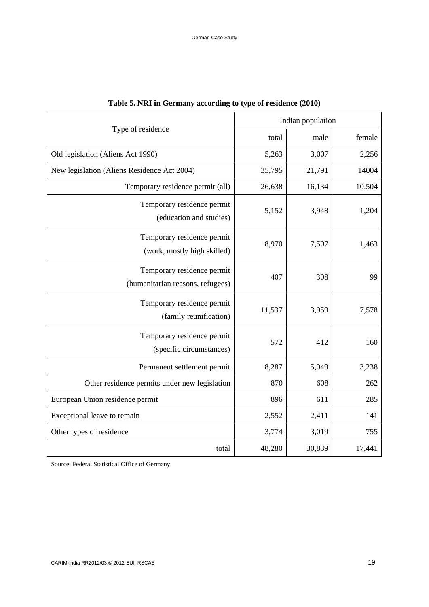|                                                                |        | Indian population |        |  |  |
|----------------------------------------------------------------|--------|-------------------|--------|--|--|
| Type of residence                                              | total  | male              | female |  |  |
| Old legislation (Aliens Act 1990)                              | 5,263  | 3,007             | 2,256  |  |  |
| New legislation (Aliens Residence Act 2004)                    | 35,795 | 21,791            | 14004  |  |  |
| Temporary residence permit (all)                               | 26,638 | 16,134            | 10.504 |  |  |
| Temporary residence permit<br>(education and studies)          | 5,152  | 3,948             | 1,204  |  |  |
| Temporary residence permit<br>(work, mostly high skilled)      | 8,970  | 7,507             | 1,463  |  |  |
| Temporary residence permit<br>(humanitarian reasons, refugees) | 407    | 308               | 99     |  |  |
| Temporary residence permit<br>(family reunification)           | 11,537 | 3,959             | 7,578  |  |  |
| Temporary residence permit<br>(specific circumstances)         | 572    | 412               | 160    |  |  |
| Permanent settlement permit                                    | 8,287  | 5,049             | 3,238  |  |  |
| Other residence permits under new legislation                  | 870    | 608               | 262    |  |  |
| European Union residence permit                                | 896    | 611               | 285    |  |  |
| Exceptional leave to remain                                    | 2,552  | 2,411             | 141    |  |  |
| Other types of residence                                       | 3,774  | 3,019             | 755    |  |  |
| total                                                          | 48,280 | 30,839            | 17,441 |  |  |

| Table 5. NRI in Germany according to type of residence (2010) |  |  |  |  |  |  |
|---------------------------------------------------------------|--|--|--|--|--|--|
|---------------------------------------------------------------|--|--|--|--|--|--|

Source: Federal Statistical Office of Germany.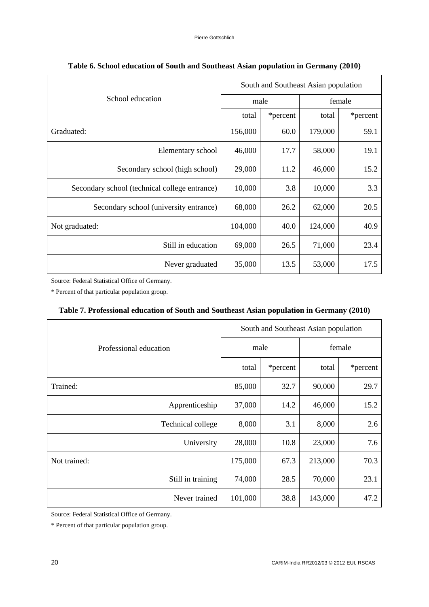|                                               | South and Southeast Asian population |          |         |          |  |
|-----------------------------------------------|--------------------------------------|----------|---------|----------|--|
| School education                              | male                                 |          | female  |          |  |
|                                               | total                                | *percent | total   | *percent |  |
| Graduated:                                    | 156,000                              | 60.0     | 179,000 | 59.1     |  |
| Elementary school                             | 46,000                               | 17.7     | 58,000  | 19.1     |  |
| Secondary school (high school)                | 29,000                               | 11.2     | 46,000  | 15.2     |  |
| Secondary school (technical college entrance) | 10,000                               | 3.8      | 10,000  | 3.3      |  |
| Secondary school (university entrance)        | 68,000                               | 26.2     | 62,000  | 20.5     |  |
| Not graduated:                                | 104,000                              | 40.0     | 124,000 | 40.9     |  |
| Still in education                            | 69,000                               | 26.5     | 71,000  | 23.4     |  |
| Never graduated                               | 35,000                               | 13.5     | 53,000  | 17.5     |  |

## **Table 6. School education of South and Southeast Asian population in Germany (2010)**

Source: Federal Statistical Office of Germany.

\* Percent of that particular population group.

## **Table 7. Professional education of South and Southeast Asian population in Germany (2010)**

|                        | South and Southeast Asian population |          |         |          |
|------------------------|--------------------------------------|----------|---------|----------|
| Professional education | male                                 |          | female  |          |
|                        | total                                | *percent | total   | *percent |
| Trained:               | 85,000                               | 32.7     | 90,000  | 29.7     |
| Apprenticeship         | 37,000                               | 14.2     | 46,000  | 15.2     |
| Technical college      | 8,000                                | 3.1      | 8,000   | 2.6      |
| University             | 28,000                               | 10.8     | 23,000  | 7.6      |
| Not trained:           | 175,000                              | 67.3     | 213,000 | 70.3     |
| Still in training      | 74,000                               | 28.5     | 70,000  | 23.1     |
| Never trained          | 101,000                              | 38.8     | 143,000 | 47.2     |

Source: Federal Statistical Office of Germany.

\* Percent of that particular population group.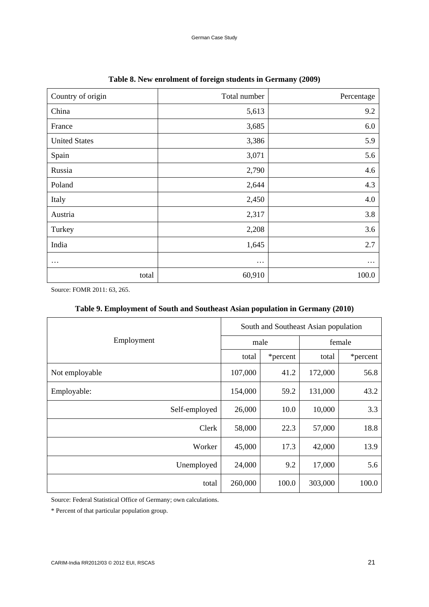| Country of origin    | Total number | Percentage |
|----------------------|--------------|------------|
| China                | 5,613        | 9.2        |
| France               | 3,685        | 6.0        |
| <b>United States</b> | 3,386        | 5.9        |
| Spain                | 3,071        | 5.6        |
| Russia               | 2,790        | 4.6        |
| Poland               | 2,644        | 4.3        |
| Italy                | 2,450        | 4.0        |
| Austria              | 2,317        | 3.8        |
| Turkey               | 2,208        | 3.6        |
| India                | 1,645        | 2.7        |
| $\cdots$             | $\cdots$     | $\cdots$   |
| total                | 60,910       | 100.0      |

## **Table 8. New enrolment of foreign students in Germany (2009)**

Source: FOMR 2011: 63, 265.

# **Table 9. Employment of South and Southeast Asian population in Germany (2010)**

|                | South and Southeast Asian population |          |         |          |
|----------------|--------------------------------------|----------|---------|----------|
| Employment     |                                      | male     |         | female   |
|                | total                                | *percent | total   | *percent |
| Not employable | 107,000                              | 41.2     | 172,000 | 56.8     |
| Employable:    | 154,000                              | 59.2     | 131,000 | 43.2     |
| Self-employed  | 26,000                               | 10.0     | 10,000  | 3.3      |
| Clerk          | 58,000                               | 22.3     | 57,000  | 18.8     |
| Worker         | 45,000                               | 17.3     | 42,000  | 13.9     |
| Unemployed     | 24,000                               | 9.2      | 17,000  | 5.6      |
| total          | 260,000                              | 100.0    | 303,000 | 100.0    |

Source: Federal Statistical Office of Germany; own calculations.

\* Percent of that particular population group.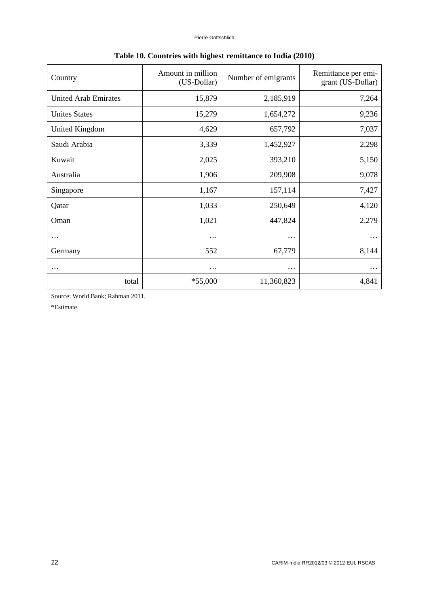| Country                     | Amount in million<br>(US-Dollar) | Number of emigrants | Remittance per emi-<br>grant (US-Dollar) |
|-----------------------------|----------------------------------|---------------------|------------------------------------------|
| <b>United Arab Emirates</b> | 15,879                           | 2,185,919           | 7,264                                    |
| <b>Unites States</b>        | 15,279                           | 1,654,272           | 9,236                                    |
| United Kingdom              | 4,629                            | 657,792             | 7,037                                    |
| Saudi Arabia                | 3,339                            | 1,452,927           | 2,298                                    |
| Kuwait                      | 2,025                            | 393,210             | 5,150                                    |
| Australia                   | 1,906                            | 209,908             | 9,078                                    |
| Singapore                   | 1,167                            | 157,114             | 7,427                                    |
| Qatar                       | 1,033                            | 250,649             | 4,120                                    |
| Oman                        | 1,021                            | 447,824             | 2,279                                    |
| $\cdots$                    | .                                | $\cdots$            | $\cdots$                                 |
| Germany                     | 552                              | 67,779              | 8,144                                    |
| $\cdots$                    | $\cdots$                         | $\cdots$            | $\cdots$                                 |
| total                       | $*55,000$                        | 11,360,823          | 4,841                                    |

# **Table 10. Countries with highest remittance to India (2010)**

Source: World Bank; Rahman 2011.

\*Estimate.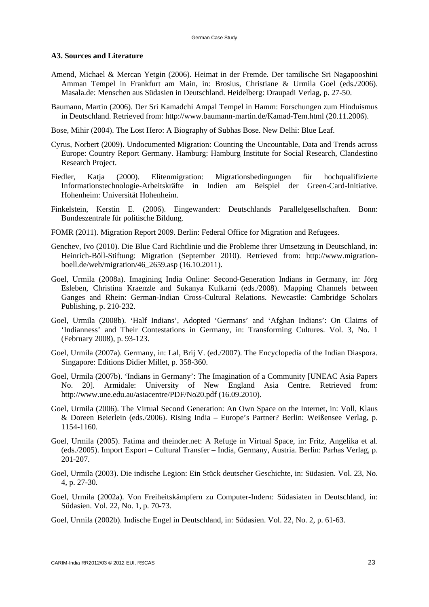#### **A3. Sources and Literature**

- Amend, Michael & Mercan Yetgin (2006). Heimat in der Fremde. Der tamilische Sri Nagapooshini Amman Tempel in Frankfurt am Main, in: Brosius, Christiane & Urmila Goel (eds./2006). Masala.de: Menschen aus Südasien in Deutschland. Heidelberg: Draupadi Verlag, p. 27-50.
- Baumann, Martin (2006). Der Sri Kamadchi Ampal Tempel in Hamm: Forschungen zum Hinduismus in Deutschland. Retrieved from: http://www.baumann-martin.de/Kamad-Tem.html (20.11.2006).

Bose, Mihir (2004). The Lost Hero: A Biography of Subhas Bose. New Delhi: Blue Leaf.

- Cyrus, Norbert (2009). Undocumented Migration: Counting the Uncountable, Data and Trends across Europe: Country Report Germany. Hamburg: Hamburg Institute for Social Research, Clandestino Research Project.
- Fiedler, Katja (2000). Elitenmigration: Migrationsbedingungen für hochqualifizierte Informationstechnologie-Arbeitskräfte in Indien am Beispiel der Green-Card-Initiative. Hohenheim: Universität Hohenheim.
- Finkelstein, Kerstin E. (2006). Eingewandert: Deutschlands Parallelgesellschaften. Bonn: Bundeszentrale für politische Bildung.
- FOMR (2011). Migration Report 2009. Berlin: Federal Office for Migration and Refugees.
- Genchev, Ivo (2010). Die Blue Card Richtlinie und die Probleme ihrer Umsetzung in Deutschland, in: Heinrich-Böll-Stiftung: Migration (September 2010). Retrieved from: http://www.migrationboell.de/web/migration/46\_2659.asp (16.10.2011).
- Goel, Urmila (2008a). Imagining India Online: Second-Generation Indians in Germany, in: Jörg Esleben, Christina Kraenzle and Sukanya Kulkarni (eds./2008). Mapping Channels between Ganges and Rhein: German-Indian Cross-Cultural Relations. Newcastle: Cambridge Scholars Publishing, p. 210-232.
- Goel, Urmila (2008b). 'Half Indians', Adopted 'Germans' and 'Afghan Indians': On Claims of 'Indianness' and Their Contestations in Germany, in: Transforming Cultures. Vol. 3, No. 1 (February 2008), p. 93-123.
- Goel, Urmila (2007a). Germany, in: Lal, Brij V. (ed./2007). The Encyclopedia of the Indian Diaspora. Singapore: Editions Didier Millet, p. 358-360.
- Goel, Urmila (2007b). 'Indians in Germany': The Imagination of a Community [UNEAC Asia Papers No. 20]. Armidale: University of New England Asia Centre. Retrieved from: http://www.une.edu.au/asiacentre/PDF/No20.pdf (16.09.2010).
- Goel, Urmila (2006). The Virtual Second Generation: An Own Space on the Internet, in: Voll, Klaus & Doreen Beierlein (eds./2006). Rising India – Europe's Partner? Berlin: Weißensee Verlag, p. 1154-1160.
- Goel, Urmila (2005). Fatima and theinder.net: A Refuge in Virtual Space, in: Fritz, Angelika et al. (eds./2005). Import Export – Cultural Transfer – India, Germany, Austria. Berlin: Parhas Verlag, p. 201-207.
- Goel, Urmila (2003). Die indische Legion: Ein Stück deutscher Geschichte, in: Südasien. Vol. 23, No. 4, p. 27-30.
- Goel, Urmila (2002a). Von Freiheitskämpfern zu Computer-Indern: Südasiaten in Deutschland, in: Südasien. Vol. 22, No. 1, p. 70-73.
- Goel, Urmila (2002b). Indische Engel in Deutschland, in: Südasien. Vol. 22, No. 2, p. 61-63.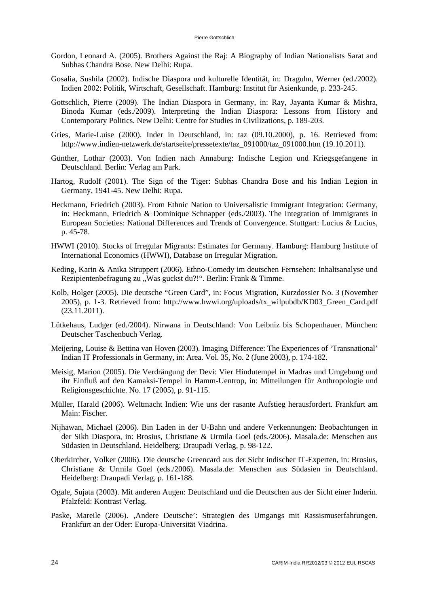- Gordon, Leonard A. (2005). Brothers Against the Raj: A Biography of Indian Nationalists Sarat and Subhas Chandra Bose. New Delhi: Rupa.
- Gosalia, Sushila (2002). Indische Diaspora und kulturelle Identität, in: Draguhn, Werner (ed./2002). Indien 2002: Politik, Wirtschaft, Gesellschaft. Hamburg: Institut für Asienkunde, p. 233-245.
- Gottschlich, Pierre (2009). The Indian Diaspora in Germany, in: Ray, Jayanta Kumar & Mishra, Binoda Kumar (eds./2009). Interpreting the Indian Diaspora: Lessons from History and Contemporary Politics. New Delhi: Centre for Studies in Civilizations, p. 189-203.
- Gries, Marie-Luise (2000). Inder in Deutschland, in: taz (09.10.2000), p. 16. Retrieved from: http://www.indien-netzwerk.de/startseite/pressetexte/taz\_091000/taz\_091000.htm (19.10.2011).
- Günther, Lothar (2003). Von Indien nach Annaburg: Indische Legion und Kriegsgefangene in Deutschland. Berlin: Verlag am Park.
- Hartog, Rudolf (2001). The Sign of the Tiger: Subhas Chandra Bose and his Indian Legion in Germany, 1941-45. New Delhi: Rupa.
- Heckmann, Friedrich (2003). From Ethnic Nation to Universalistic Immigrant Integration: Germany, in: Heckmann, Friedrich & Dominique Schnapper (eds./2003). The Integration of Immigrants in European Societies: National Differences and Trends of Convergence. Stuttgart: Lucius & Lucius, p. 45-78.
- HWWI (2010). Stocks of Irregular Migrants: Estimates for Germany. Hamburg: Hamburg Institute of International Economics (HWWI), Database on Irregular Migration.
- Keding, Karin & Anika Struppert (2006). Ethno-Comedy im deutschen Fernsehen: Inhaltsanalyse und Rezipientenbefragung zu "Was guckst du?!". Berlin: Frank & Timme.
- Kolb, Holger (2005). Die deutsche "Green Card", in: Focus Migration, Kurzdossier No. 3 (November 2005), p. 1-3. Retrieved from: http://www.hwwi.org/uploads/tx\_wilpubdb/KD03\_Green\_Card.pdf (23.11.2011).
- Lütkehaus, Ludger (ed./2004). Nirwana in Deutschland: Von Leibniz bis Schopenhauer. München: Deutscher Taschenbuch Verlag.
- Meijering, Louise & Bettina van Hoven (2003). Imaging Difference: The Experiences of 'Transnational' Indian IT Professionals in Germany, in: Area. Vol. 35, No. 2 (June 2003), p. 174-182.
- Meisig, Marion (2005). Die Verdrängung der Devi: Vier Hindutempel in Madras und Umgebung und ihr Einfluß auf den Kamaksi-Tempel in Hamm-Uentrop, in: Mitteilungen für Anthropologie und Religionsgeschichte. No. 17 (2005), p. 91-115.
- Müller, Harald (2006). Weltmacht Indien: Wie uns der rasante Aufstieg herausfordert. Frankfurt am Main: Fischer.
- Nijhawan, Michael (2006). Bin Laden in der U-Bahn und andere Verkennungen: Beobachtungen in der Sikh Diaspora, in: Brosius, Christiane & Urmila Goel (eds./2006). Masala.de: Menschen aus Südasien in Deutschland. Heidelberg: Draupadi Verlag, p. 98-122.
- Oberkircher, Volker (2006). Die deutsche Greencard aus der Sicht indischer IT-Experten, in: Brosius, Christiane & Urmila Goel (eds./2006). Masala.de: Menschen aus Südasien in Deutschland. Heidelberg: Draupadi Verlag, p. 161-188.
- Ogale, Sujata (2003). Mit anderen Augen: Deutschland und die Deutschen aus der Sicht einer Inderin. Pfalzfeld: Kontrast Verlag.
- Paske, Mareile (2006). 'Andere Deutsche': Strategien des Umgangs mit Rassismuserfahrungen. Frankfurt an der Oder: Europa-Universität Viadrina.